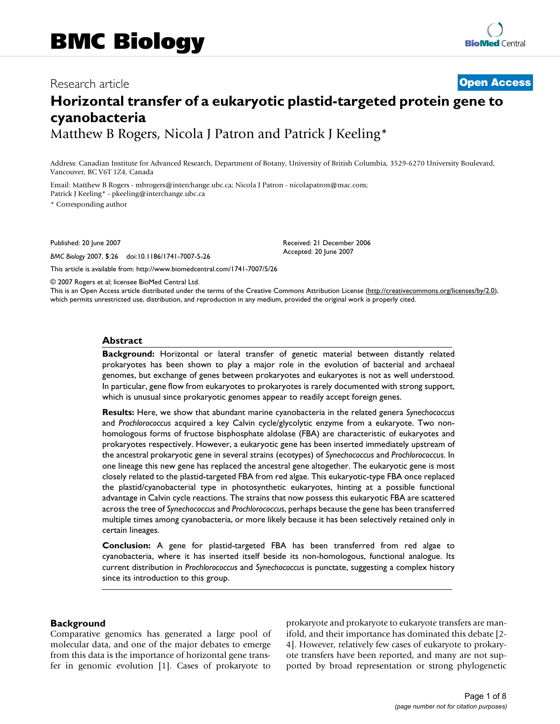# Research article **[Open Access](http://www.biomedcentral.com/info/about/charter/)**

# **Horizontal transfer of a eukaryotic plastid-targeted protein gene to cyanobacteria**

Matthew B Rogers, Nicola J Patron and Patrick J Keeling\*

Address: Canadian Institute for Advanced Research, Department of Botany, University of British Columbia, 3529-6270 University Boulevard, Vancouver, BC V6T 1Z4, Canada

Email: Matthew B Rogers - mbrogers@interchange.ubc.ca; Nicola J Patron - nicolapatron@mac.com; Patrick J Keeling\* - pkeeling@interchange.ubc.ca

\* Corresponding author

Published: 20 June 2007

*BMC Biology* 2007, **5**:26 doi:10.1186/1741-7007-5-26

[This article is available from: http://www.biomedcentral.com/1741-7007/5/26](http://www.biomedcentral.com/1741-7007/5/26)

© 2007 Rogers et al; licensee BioMed Central Ltd.

This is an Open Access article distributed under the terms of the Creative Commons Attribution License [\(http://creativecommons.org/licenses/by/2.0\)](http://creativecommons.org/licenses/by/2.0), which permits unrestricted use, distribution, and reproduction in any medium, provided the original work is properly cited.

Received: 21 December 2006 Accepted: 20 June 2007

#### **Abstract**

**Background:** Horizontal or lateral transfer of genetic material between distantly related prokaryotes has been shown to play a major role in the evolution of bacterial and archaeal genomes, but exchange of genes between prokaryotes and eukaryotes is not as well understood. In particular, gene flow from eukaryotes to prokaryotes is rarely documented with strong support, which is unusual since prokaryotic genomes appear to readily accept foreign genes.

**Results:** Here, we show that abundant marine cyanobacteria in the related genera *Synechococcus* and *Prochlorococcus* acquired a key Calvin cycle/glycolytic enzyme from a eukaryote. Two nonhomologous forms of fructose bisphosphate aldolase (FBA) are characteristic of eukaryotes and prokaryotes respectively. However, a eukaryotic gene has been inserted immediately upstream of the ancestral prokaryotic gene in several strains (ecotypes) of *Synechococcus* and *Prochlorococcus*. In one lineage this new gene has replaced the ancestral gene altogether. The eukaryotic gene is most closely related to the plastid-targeted FBA from red algae. This eukaryotic-type FBA once replaced the plastid/cyanobacterial type in photosynthetic eukaryotes, hinting at a possible functional advantage in Calvin cycle reactions. The strains that now possess this eukaryotic FBA are scattered across the tree of *Synechococcus* and *Prochlorococcus*, perhaps because the gene has been transferred multiple times among cyanobacteria, or more likely because it has been selectively retained only in certain lineages.

**Conclusion:** A gene for plastid-targeted FBA has been transferred from red algae to cyanobacteria, where it has inserted itself beside its non-homologous, functional analogue. Its current distribution in *Prochlorococcus* and *Synechococcus* is punctate, suggesting a complex history since its introduction to this group.

#### **Background**

Comparative genomics has generated a large pool of molecular data, and one of the major debates to emerge from this data is the importance of horizontal gene transfer in genomic evolution [1]. Cases of prokaryote to

prokaryote and prokaryote to eukaryote transfers are manifold, and their importance has dominated this debate [2- 4]. However, relatively few cases of eukaryote to prokaryote transfers have been reported, and many are not supported by broad representation or strong phylogenetic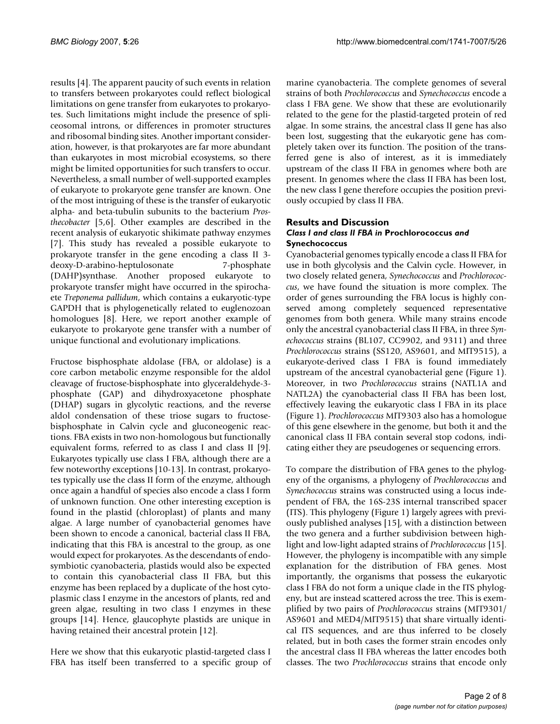results [4]. The apparent paucity of such events in relation to transfers between prokaryotes could reflect biological limitations on gene transfer from eukaryotes to prokaryotes. Such limitations might include the presence of spliceosomal introns, or differences in promoter structures and ribosomal binding sites. Another important consideration, however, is that prokaryotes are far more abundant than eukaryotes in most microbial ecosystems, so there might be limited opportunities for such transfers to occur. Nevertheless, a small number of well-supported examples of eukaryote to prokaryote gene transfer are known. One of the most intriguing of these is the transfer of eukaryotic alpha- and beta-tubulin subunits to the bacterium *Prosthecobacter* [5,6]. Other examples are described in the recent analysis of eukaryotic shikimate pathway enzymes [7]. This study has revealed a possible eukaryote to prokaryote transfer in the gene encoding a class II 3 deoxy-D-arabino-heptulosonate 7-phosphate (DAHP)synthase. Another proposed eukaryote to prokaryote transfer might have occurred in the spirochaete *Treponema pallidum*, which contains a eukaryotic-type GAPDH that is phylogenetically related to euglenozoan homologues [8]. Here, we report another example of eukaryote to prokaryote gene transfer with a number of unique functional and evolutionary implications.

Fructose bisphosphate aldolase (FBA, or aldolase) is a core carbon metabolic enzyme responsible for the aldol cleavage of fructose-bisphosphate into glyceraldehyde-3 phosphate (GAP) and dihydroxyacetone phosphate (DHAP) sugars in glycolytic reactions, and the reverse aldol condensation of these triose sugars to fructosebisphosphate in Calvin cycle and gluconeogenic reactions. FBA exists in two non-homologous but functionally equivalent forms, referred to as class I and class II [9]. Eukaryotes typically use class I FBA, although there are a few noteworthy exceptions [10-13]. In contrast, prokaryotes typically use the class II form of the enzyme, although once again a handful of species also encode a class I form of unknown function. One other interesting exception is found in the plastid (chloroplast) of plants and many algae. A large number of cyanobacterial genomes have been shown to encode a canonical, bacterial class II FBA, indicating that this FBA is ancestral to the group, as one would expect for prokaryotes. As the descendants of endosymbiotic cyanobacteria, plastids would also be expected to contain this cyanobacterial class II FBA, but this enzyme has been replaced by a duplicate of the host cytoplasmic class I enzyme in the ancestors of plants, red and green algae, resulting in two class I enzymes in these groups [14]. Hence, glaucophyte plastids are unique in having retained their ancestral protein [12].

Here we show that this eukaryotic plastid-targeted class I FBA has itself been transferred to a specific group of marine cyanobacteria. The complete genomes of several strains of both *Prochlorococcus* and *Synechococcus* encode a class I FBA gene. We show that these are evolutionarily related to the gene for the plastid-targeted protein of red algae. In some strains, the ancestral class II gene has also been lost, suggesting that the eukaryotic gene has completely taken over its function. The position of the transferred gene is also of interest, as it is immediately upstream of the class II FBA in genomes where both are present. In genomes where the class II FBA has been lost, the new class I gene therefore occupies the position previously occupied by class II FBA.

## **Results and Discussion**

### *Class I and class II FBA in* **Prochlorococcus** *and*  **Synechococcus**

Cyanobacterial genomes typically encode a class II FBA for use in both glycolysis and the Calvin cycle. However, in two closely related genera, *Synechococcus* and *Prochlorococcus*, we have found the situation is more complex. The order of genes surrounding the FBA locus is highly conserved among completely sequenced representative genomes from both genera. While many strains encode only the ancestral cyanobacterial class II FBA, in three *Synechococcus* strains (BL107, CC9902, and 9311) and three *Prochlorococcus* strains (SS120, AS9601, and MIT9515), a eukaryote-derived class I FBA is found immediately upstream of the ancestral cyanobacterial gene (Figure 1). Moreover, in two *Prochlorococcus* strains (NATL1A and NATL2A) the cyanobacterial class II FBA has been lost, effectively leaving the eukaryotic class I FBA in its place (Figure 1). *Prochlorococcus* MIT9303 also has a homologue of this gene elsewhere in the genome, but both it and the canonical class II FBA contain several stop codons, indicating either they are pseudogenes or sequencing errors.

To compare the distribution of FBA genes to the phylogeny of the organisms, a phylogeny of *Prochlorococcus* and *Synechococcus* strains was constructed using a locus independent of FBA, the 16S-23S internal transcribed spacer (ITS). This phylogeny (Figure 1) largely agrees with previously published analyses [15], with a distinction between the two genera and a further subdivision between highlight and low-light adapted strains of *Prochlorococcus* [15]. However, the phylogeny is incompatible with any simple explanation for the distribution of FBA genes. Most importantly, the organisms that possess the eukaryotic class I FBA do not form a unique clade in the ITS phylogeny, but are instead scattered across the tree. This is exemplified by two pairs of *Prochlorococcus* strains (MIT9301/ AS9601 and MED4/MIT9515) that share virtually identical ITS sequences, and are thus inferred to be closely related, but in both cases the former strain encodes only the ancestral class II FBA whereas the latter encodes both classes. The two *Prochlorococcus* strains that encode only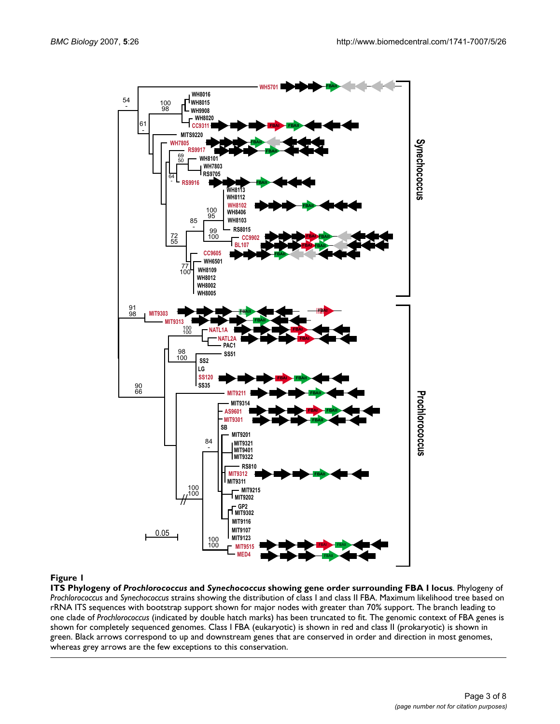

**ITS Phylogeny of** *Prochlorococcus* **and** *Synechococcus* **showing gene order surrounding FBA I locus**. Phylogeny of *Prochlorococcus* and *Synechococcus* strains showing the distribution of class I and class II FBA. Maximum likelihood tree based on rRNA ITS sequences with bootstrap support shown for major nodes with greater than 70% support. The branch leading to one clade of *Prochlorococcus* (indicated by double hatch marks) has been truncated to fit. The genomic context of FBA genes is shown for completely sequenced genomes. Class I FBA (eukaryotic) is shown in red and class II (prokaryotic) is shown in green. Black arrows correspond to up and downstream genes that are conserved in order and direction in most genomes, whereas grey arrows are the few exceptions to this conservation.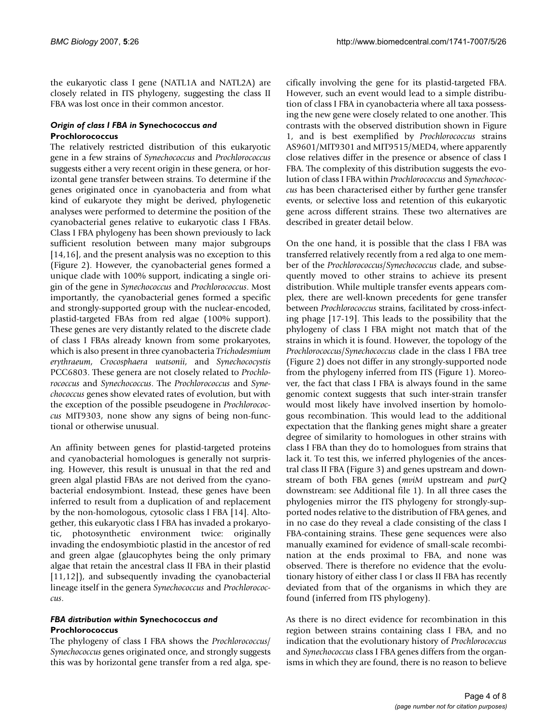the eukaryotic class I gene (NATL1A and NATL2A) are closely related in ITS phylogeny, suggesting the class II FBA was lost once in their common ancestor.

#### *Origin of class I FBA in* **Synechococcus** *and*  **Prochlorococcus**

The relatively restricted distribution of this eukaryotic gene in a few strains of *Synechococcus* and *Prochlorococcus* suggests either a very recent origin in these genera, or horizontal gene transfer between strains. To determine if the genes originated once in cyanobacteria and from what kind of eukaryote they might be derived, phylogenetic analyses were performed to determine the position of the cyanobacterial genes relative to eukaryotic class I FBAs. Class I FBA phylogeny has been shown previously to lack sufficient resolution between many major subgroups [14,16], and the present analysis was no exception to this (Figure 2). However, the cyanobacterial genes formed a unique clade with 100% support, indicating a single origin of the gene in *Synechococcus* and *Prochlorococcus*. Most importantly, the cyanobacterial genes formed a specific and strongly-supported group with the nuclear-encoded, plastid-targeted FBAs from red algae (100% support). These genes are very distantly related to the discrete clade of class I FBAs already known from some prokaryotes, which is also present in three cyanobacteria *Trichodesmium erythraeum*, *Crocosphaera watsonii*, and *Synechococystis* PCC6803. These genera are not closely related to *Prochlorococcus* and *Synechococcus*. The *Prochlorococcus* and *Synechococcus* genes show elevated rates of evolution, but with the exception of the possible pseudogene in *Prochlorococcus* MIT9303, none show any signs of being non-functional or otherwise unusual.

An affinity between genes for plastid-targeted proteins and cyanobacterial homologues is generally not surprising. However, this result is unusual in that the red and green algal plastid FBAs are not derived from the cyanobacterial endosymbiont. Instead, these genes have been inferred to result from a duplication of and replacement by the non-homologous, cytosolic class I FBA [14]. Altogether, this eukaryotic class I FBA has invaded a prokaryotic, photosynthetic environment twice: originally invading the endosymbiotic plastid in the ancestor of red and green algae (glaucophytes being the only primary algae that retain the ancestral class II FBA in their plastid [11,12]), and subsequently invading the cyanobacterial lineage itself in the genera *Synechococcus* and *Prochlorococcus*.

#### *FBA distribution within* **Synechococcus** *and*  **Prochlorococcus**

The phylogeny of class I FBA shows the *Prochlorococcus*/ *Synechococcus* genes originated once, and strongly suggests this was by horizontal gene transfer from a red alga, specifically involving the gene for its plastid-targeted FBA. However, such an event would lead to a simple distribution of class I FBA in cyanobacteria where all taxa possessing the new gene were closely related to one another. This contrasts with the observed distribution shown in Figure 1, and is best exemplified by *Prochlorococcus* strains AS9601/MIT9301 and MIT9515/MED4, where apparently close relatives differ in the presence or absence of class I FBA. The complexity of this distribution suggests the evolution of class I FBA within *Prochlorococcus* and *Synechococcus* has been characterised either by further gene transfer events, or selective loss and retention of this eukaryotic gene across different strains. These two alternatives are described in greater detail below.

On the one hand, it is possible that the class I FBA was transferred relatively recently from a red alga to one member of the *Prochlorococcus*/*Synechococcus* clade, and subsequently moved to other strains to achieve its present distribution. While multiple transfer events appears complex, there are well-known precedents for gene transfer between *Prochlorococcus* strains, facilitated by cross-infecting phage [17-19]. This leads to the possibility that the phylogeny of class I FBA might not match that of the strains in which it is found. However, the topology of the *Prochlorococcus*/*Synechococcus* clade in the class I FBA tree (Figure 2) does not differ in any strongly-supported node from the phylogeny inferred from ITS (Figure 1). Moreover, the fact that class I FBA is always found in the same genomic context suggests that such inter-strain transfer would most likely have involved insertion by homologous recombination. This would lead to the additional expectation that the flanking genes might share a greater degree of similarity to homologues in other strains with class I FBA than they do to homologues from strains that lack it. To test this, we inferred phylogenies of the ancestral class II FBA (Figure 3) and genes upstream and downstream of both FBA genes (*mviM* upstream and *purQ* downstream: see Additional file 1). In all three cases the phylogenies mirror the ITS phylogeny for strongly-supported nodes relative to the distribution of FBA genes, and in no case do they reveal a clade consisting of the class I FBA-containing strains. These gene sequences were also manually examined for evidence of small-scale recombination at the ends proximal to FBA, and none was observed. There is therefore no evidence that the evolutionary history of either class I or class II FBA has recently deviated from that of the organisms in which they are found (inferred from ITS phylogeny).

As there is no direct evidence for recombination in this region between strains containing class I FBA, and no indication that the evolutionary history of *Prochlorococcus* and *Synechococcus* class I FBA genes differs from the organisms in which they are found, there is no reason to believe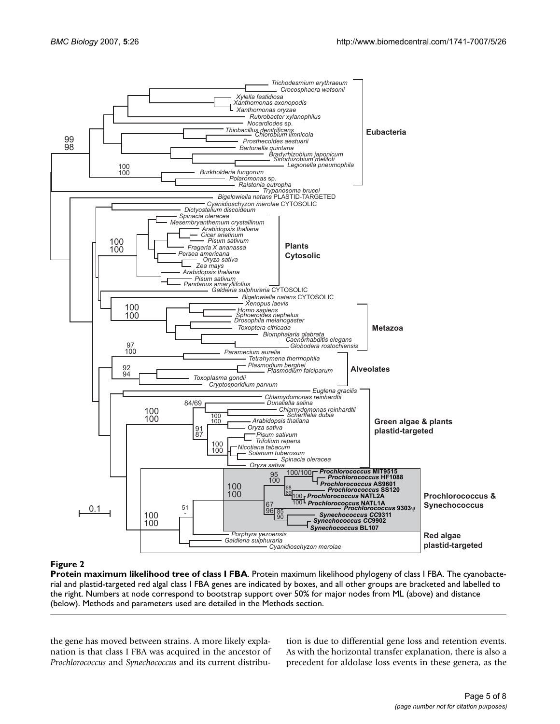

### **Figure 2**

**Protein maximum likelihood tree of class I FBA**. Protein maximum likelihood phylogeny of class I FBA. The cyanobacterial and plastid-targeted red algal class I FBA genes are indicated by boxes, and all other groups are bracketed and labelled to the right. Numbers at node correspond to bootstrap support over 50% for major nodes from ML (above) and distance (below). Methods and parameters used are detailed in the Methods section.

the gene has moved between strains. A more likely explanation is that class I FBA was acquired in the ancestor of *Prochlorococcus* and *Synechococcus* and its current distribution is due to differential gene loss and retention events. As with the horizontal transfer explanation, there is also a precedent for aldolase loss events in these genera, as the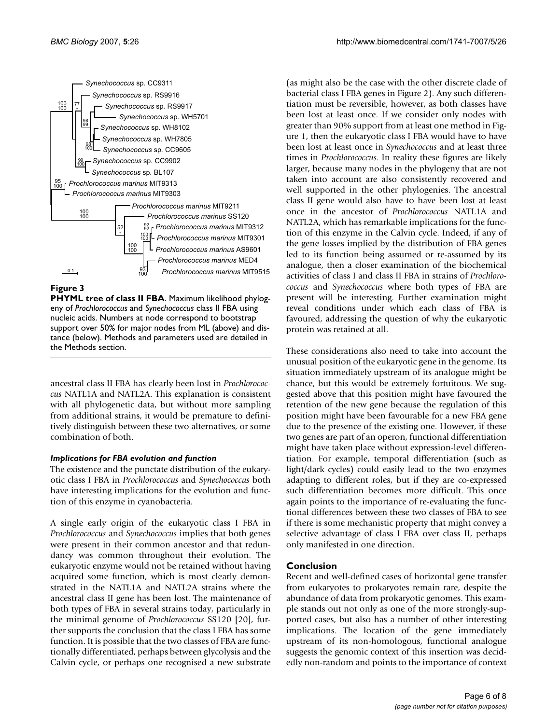

# **Figure 3**

**PHYML tree of class II FBA**. Maximum likelihood phylogeny of *Prochlorococcus* and *Synechococcus* class II FBA using nucleic acids. Numbers at node correspond to bootstrap support over 50% for major nodes from ML (above) and distance (below). Methods and parameters used are detailed in the Methods section.

ancestral class II FBA has clearly been lost in *Prochlorococcus* NATL1A and NATL2A. This explanation is consistent with all phylogenetic data, but without more sampling from additional strains, it would be premature to definitively distinguish between these two alternatives, or some combination of both.

#### *Implications for FBA evolution and function*

The existence and the punctate distribution of the eukaryotic class I FBA in *Prochlorococcus* and *Synechococcus* both have interesting implications for the evolution and function of this enzyme in cyanobacteria.

A single early origin of the eukaryotic class I FBA in *Prochlorococcus* and *Synechococcus* implies that both genes were present in their common ancestor and that redundancy was common throughout their evolution. The eukaryotic enzyme would not be retained without having acquired some function, which is most clearly demonstrated in the NATL1A and NATL2A strains where the ancestral class II gene has been lost. The maintenance of both types of FBA in several strains today, particularly in the minimal genome of *Prochlorococcus* SS120 [20], further supports the conclusion that the class I FBA has some function. It is possible that the two classes of FBA are functionally differentiated, perhaps between glycolysis and the Calvin cycle, or perhaps one recognised a new substrate

(as might also be the case with the other discrete clade of bacterial class I FBA genes in Figure 2). Any such differentiation must be reversible, however, as both classes have been lost at least once. If we consider only nodes with greater than 90% support from at least one method in Figure 1, then the eukaryotic class I FBA would have to have been lost at least once in *Synechococcus* and at least three times in *Prochlorococcus*. In reality these figures are likely larger, because many nodes in the phylogeny that are not taken into account are also consistently recovered and well supported in the other phylogenies. The ancestral class II gene would also have to have been lost at least once in the ancestor of *Prochlorococcus* NATL1A and NATL2A, which has remarkable implications for the function of this enzyme in the Calvin cycle. Indeed, if any of the gene losses implied by the distribution of FBA genes led to its function being assumed or re-assumed by its analogue, then a closer examination of the biochemical activities of class I and class II FBA in strains of *Prochlorococcus* and *Synechococcus* where both types of FBA are present will be interesting. Further examination might reveal conditions under which each class of FBA is favoured, addressing the question of why the eukaryotic protein was retained at all.

These considerations also need to take into account the unusual position of the eukaryotic gene in the genome. Its situation immediately upstream of its analogue might be chance, but this would be extremely fortuitous. We suggested above that this position might have favoured the retention of the new gene because the regulation of this position might have been favourable for a new FBA gene due to the presence of the existing one. However, if these two genes are part of an operon, functional differentiation might have taken place without expression-level differentiation. For example, temporal differentiation (such as light/dark cycles) could easily lead to the two enzymes adapting to different roles, but if they are co-expressed such differentiation becomes more difficult. This once again points to the importance of re-evaluating the functional differences between these two classes of FBA to see if there is some mechanistic property that might convey a selective advantage of class I FBA over class II, perhaps only manifested in one direction.

### **Conclusion**

Recent and well-defined cases of horizontal gene transfer from eukaryotes to prokaryotes remain rare, despite the abundance of data from prokaryotic genomes. This example stands out not only as one of the more strongly-supported cases, but also has a number of other interesting implications. The location of the gene immediately upstream of its non-homologous, functional analogue suggests the genomic context of this insertion was decidedly non-random and points to the importance of context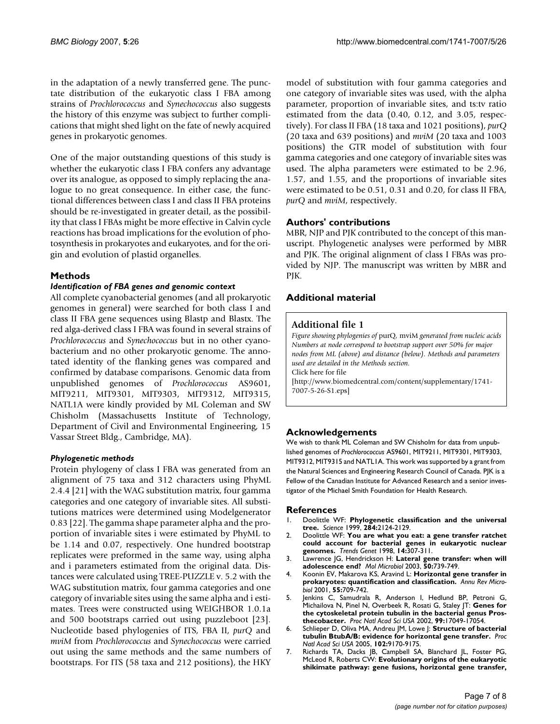in the adaptation of a newly transferred gene. The punctate distribution of the eukaryotic class I FBA among strains of *Prochlorococcus* and *Synechococcus* also suggests the history of this enzyme was subject to further complications that might shed light on the fate of newly acquired genes in prokaryotic genomes.

One of the major outstanding questions of this study is whether the eukaryotic class I FBA confers any advantage over its analogue, as opposed to simply replacing the analogue to no great consequence. In either case, the functional differences between class I and class II FBA proteins should be re-investigated in greater detail, as the possibility that class I FBAs might be more effective in Calvin cycle reactions has broad implications for the evolution of photosynthesis in prokaryotes and eukaryotes, and for the origin and evolution of plastid organelles.

#### **Methods**

#### *Identification of FBA genes and genomic context*

All complete cyanobacterial genomes (and all prokaryotic genomes in general) were searched for both class I and class II FBA gene sequences using Blastp and Blastx. The red alga-derived class I FBA was found in several strains of *Prochlorococcus* and *Synechococcus* but in no other cyanobacterium and no other prokaryotic genome. The annotated identity of the flanking genes was compared and confirmed by database comparisons. Genomic data from unpublished genomes of *Prochlorococcus* AS9601, MIT9211, MIT9301, MIT9303, MIT9312, MIT9315, NATL1A were kindly provided by ML Coleman and SW Chisholm (Massachusetts Institute of Technology, Department of Civil and Environmental Engineering, 15 Vassar Street Bldg., Cambridge, MA).

#### *Phylogenetic methods*

Protein phylogeny of class I FBA was generated from an alignment of 75 taxa and 312 characters using PhyML 2.4.4 [21] with the WAG substitution matrix, four gamma categories and one category of invariable sites. All substitutions matrices were determined using Modelgenerator 0.83 [22]. The gamma shape parameter alpha and the proportion of invariable sites i were estimated by PhyML to be 1.14 and 0.07, respectively. One hundred bootstrap replicates were preformed in the same way, using alpha and i parameters estimated from the original data. Distances were calculated using TREE-PUZZLE v. 5.2 with the WAG substitution matrix, four gamma categories and one category of invariable sites using the same alpha and i estimates. Trees were constructed using WEIGHBOR 1.0.1a and 500 bootstraps carried out using puzzleboot [23]. Nucleotide based phylogenies of ITS, FBA II, *purQ* and *mviM* from *Prochlorococcus* and *Synechococcus* were carried out using the same methods and the same numbers of bootstraps. For ITS (58 taxa and 212 positions), the HKY model of substitution with four gamma categories and one category of invariable sites was used, with the alpha parameter, proportion of invariable sites, and ts:tv ratio estimated from the data (0.40, 0.12, and 3.05, respectively). For class II FBA (18 taxa and 1021 positions), *purQ* (20 taxa and 639 positions) and *mviM* (20 taxa and 1003 positions) the GTR model of substitution with four gamma categories and one category of invariable sites was used. The alpha parameters were estimated to be 2.96, 1.57, and 1.55, and the proportions of invariable sites were estimated to be 0.51, 0.31 and 0.20, for class II FBA, *purQ* and *mviM*, respectively.

#### **Authors' contributions**

MBR, NJP and PJK contributed to the concept of this manuscript. Phylogenetic analyses were performed by MBR and PJK. The original alignment of class I FBAs was provided by NJP. The manuscript was written by MBR and PJK.

#### **Additional material**

#### **Additional file 1**

*Figure showing phylogenies of* purQ*,* mviM *generated from nucleic acids Numbers at node correspond to bootstrap support over 50% for major nodes from ML (above) and distance (below). Methods and parameters used are detailed in the Methods section.* Click here for file

[\[http://www.biomedcentral.com/content/supplementary/1741-](http://www.biomedcentral.com/content/supplementary/1741-7007-5-26-S1.eps) 7007-5-26-S1.eps]

#### **Acknowledgements**

We wish to thank ML Coleman and SW Chisholm for data from unpublished genomes of *Prochlorococcus* AS9601, MIT9211, MIT9301, MIT9303, MIT9312, MIT9315 and NATL1A. This work was supported by a grant from the Natural Sciences and Engineering Research Council of Canada. PJK is a Fellow of the Canadian Institute for Advanced Research and a senior investigator of the Michael Smith Foundation for Health Research.

#### **References**

- 1. Doolittle WF: **[Phylogenetic classification and the universal](http://www.ncbi.nlm.nih.gov/entrez/query.fcgi?cmd=Retrieve&db=PubMed&dopt=Abstract&list_uids=10381871) [tree.](http://www.ncbi.nlm.nih.gov/entrez/query.fcgi?cmd=Retrieve&db=PubMed&dopt=Abstract&list_uids=10381871)** *Science* 1999, **284:**2124-2129.
- 2. Doolittle WF: **[You are what you eat: a gene transfer ratchet](http://www.ncbi.nlm.nih.gov/entrez/query.fcgi?cmd=Retrieve&db=PubMed&dopt=Abstract&list_uids=9724962) [could account for bacterial genes in eukaryotic nuclear](http://www.ncbi.nlm.nih.gov/entrez/query.fcgi?cmd=Retrieve&db=PubMed&dopt=Abstract&list_uids=9724962) [genomes.](http://www.ncbi.nlm.nih.gov/entrez/query.fcgi?cmd=Retrieve&db=PubMed&dopt=Abstract&list_uids=9724962)** *Trends Genet* 1998, **14:**307-311.
- 3. Lawrence JG, Hendrickson H: **[Lateral gene transfer: when will](http://www.ncbi.nlm.nih.gov/entrez/query.fcgi?cmd=Retrieve&db=PubMed&dopt=Abstract&list_uids=14617137) [adolescence end?](http://www.ncbi.nlm.nih.gov/entrez/query.fcgi?cmd=Retrieve&db=PubMed&dopt=Abstract&list_uids=14617137)** *Mol Microbiol* 2003, **50:**739-749.
- 4. Koonin EV, Makarova KS, Aravind L: **[Horizontal gene transfer in](http://www.ncbi.nlm.nih.gov/entrez/query.fcgi?cmd=Retrieve&db=PubMed&dopt=Abstract&list_uids=11544372) [prokaryotes: quantification and classification.](http://www.ncbi.nlm.nih.gov/entrez/query.fcgi?cmd=Retrieve&db=PubMed&dopt=Abstract&list_uids=11544372)** *Annu Rev Microbiol* 2001, **55:**709-742.
- 5. Jenkins C, Samudrala R, Anderson I, Hedlund BP, Petroni G, Michailova N, Pinel N, Overbeek R, Rosati G, Staley JT: **[Genes for](http://www.ncbi.nlm.nih.gov/entrez/query.fcgi?cmd=Retrieve&db=PubMed&dopt=Abstract&list_uids=12486237) [the cytoskeletal protein tubulin in the bacterial genus Pros](http://www.ncbi.nlm.nih.gov/entrez/query.fcgi?cmd=Retrieve&db=PubMed&dopt=Abstract&list_uids=12486237)[thecobacter.](http://www.ncbi.nlm.nih.gov/entrez/query.fcgi?cmd=Retrieve&db=PubMed&dopt=Abstract&list_uids=12486237)** *Proc Natl Acad Sci USA* 2002, **99:**17049-17054.
- 6. Schlieper D, Oliva MA, Andreu JM, Lowe J: **[Structure of bacterial](http://www.ncbi.nlm.nih.gov/entrez/query.fcgi?cmd=Retrieve&db=PubMed&dopt=Abstract&list_uids=15967998) [tubulin BtubA/B: evidence for horizontal gene transfer.](http://www.ncbi.nlm.nih.gov/entrez/query.fcgi?cmd=Retrieve&db=PubMed&dopt=Abstract&list_uids=15967998)** *Proc Natl Acad Sci USA* 2005, **102:**9170-9175.
- 7. Richards TA, Dacks JB, Campbell SA, Blanchard JL, Foster PG, McLeod R, Roberts CW: **[Evolutionary origins of the eukaryotic](http://www.ncbi.nlm.nih.gov/entrez/query.fcgi?cmd=Retrieve&db=PubMed&dopt=Abstract&list_uids=16963634) [shikimate pathway: gene fusions, horizontal gene transfer,](http://www.ncbi.nlm.nih.gov/entrez/query.fcgi?cmd=Retrieve&db=PubMed&dopt=Abstract&list_uids=16963634)**